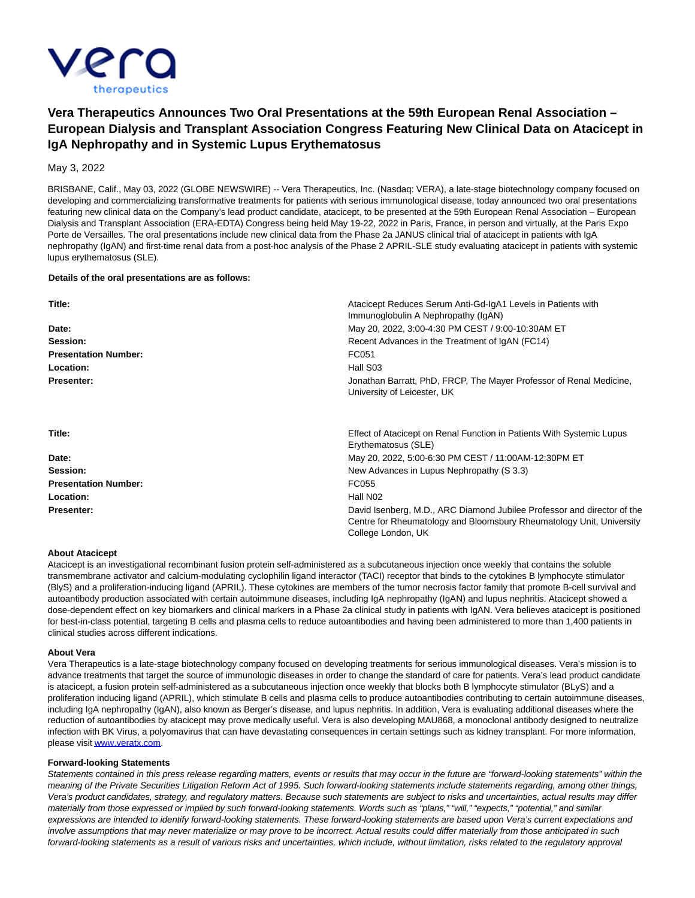

# **Vera Therapeutics Announces Two Oral Presentations at the 59th European Renal Association – European Dialysis and Transplant Association Congress Featuring New Clinical Data on Atacicept in IgA Nephropathy and in Systemic Lupus Erythematosus**

May 3, 2022

BRISBANE, Calif., May 03, 2022 (GLOBE NEWSWIRE) -- Vera Therapeutics, Inc. (Nasdaq: VERA), a late-stage biotechnology company focused on developing and commercializing transformative treatments for patients with serious immunological disease, today announced two oral presentations featuring new clinical data on the Company's lead product candidate, atacicept, to be presented at the 59th European Renal Association – European Dialysis and Transplant Association (ERA-EDTA) Congress being held May 19-22, 2022 in Paris, France, in person and virtually, at the Paris Expo Porte de Versailles. The oral presentations include new clinical data from the Phase 2a JANUS clinical trial of atacicept in patients with IgA nephropathy (IgAN) and first-time renal data from a post-hoc analysis of the Phase 2 APRIL-SLE study evaluating atacicept in patients with systemic lupus erythematosus (SLE).

## **Details of the oral presentations are as follows:**

| Title:<br>Date:<br>Session: | Atacicept Reduces Serum Anti-Gd-IgA1 Levels in Patients with<br>Immunoglobulin A Nephropathy (IgAN)<br>May 20, 2022, 3:00-4:30 PM CEST / 9:00-10:30AM ET<br>Recent Advances in the Treatment of IgAN (FC14) |                             |          |
|-----------------------------|-------------------------------------------------------------------------------------------------------------------------------------------------------------------------------------------------------------|-----------------------------|----------|
|                             |                                                                                                                                                                                                             | <b>Presentation Number:</b> | FC051    |
|                             |                                                                                                                                                                                                             | Location:                   | Hall S03 |
| <b>Presenter:</b>           | Jonathan Barratt, PhD, FRCP, The Mayer Professor of Renal Medicine,<br>University of Leicester, UK                                                                                                          |                             |          |
| Title:                      | Effect of Atacicept on Renal Function in Patients With Systemic Lupus                                                                                                                                       |                             |          |
|                             | Erythematosus (SLE)                                                                                                                                                                                         |                             |          |
| Date:                       | May 20, 2022, 5:00-6:30 PM CEST / 11:00AM-12:30PM ET                                                                                                                                                        |                             |          |
| Session:                    | New Advances in Lupus Nephropathy (S 3.3)                                                                                                                                                                   |                             |          |
| <b>Presentation Number:</b> | FC055                                                                                                                                                                                                       |                             |          |
| Location:                   | Hall N <sub>02</sub>                                                                                                                                                                                        |                             |          |
| Presenter:                  | David Isenberg, M.D., ARC Diamond Jubilee Professor and director of the<br>Centre for Rheumatology and Bloomsbury Rheumatology Unit, University<br>College London, UK                                       |                             |          |

#### **About Atacicept**

Atacicept is an investigational recombinant fusion protein self-administered as a subcutaneous injection once weekly that contains the soluble transmembrane activator and calcium-modulating cyclophilin ligand interactor (TACI) receptor that binds to the cytokines B lymphocyte stimulator (BlyS) and a proliferation-inducing ligand (APRIL). These cytokines are members of the tumor necrosis factor family that promote B-cell survival and autoantibody production associated with certain autoimmune diseases, including IgA nephropathy (IgAN) and lupus nephritis. Atacicept showed a dose-dependent effect on key biomarkers and clinical markers in a Phase 2a clinical study in patients with IgAN. Vera believes atacicept is positioned for best-in-class potential, targeting B cells and plasma cells to reduce autoantibodies and having been administered to more than 1,400 patients in clinical studies across different indications.

#### **About Vera**

Vera Therapeutics is a late-stage biotechnology company focused on developing treatments for serious immunological diseases. Vera's mission is to advance treatments that target the source of immunologic diseases in order to change the standard of care for patients. Vera's lead product candidate is atacicept, a fusion protein self-administered as a subcutaneous injection once weekly that blocks both B lymphocyte stimulator (BLyS) and a proliferation inducing ligand (APRIL), which stimulate B cells and plasma cells to produce autoantibodies contributing to certain autoimmune diseases, including IgA nephropathy (IgAN), also known as Berger's disease, and lupus nephritis. In addition, Vera is evaluating additional diseases where the reduction of autoantibodies by atacicept may prove medically useful. Vera is also developing MAU868, a monoclonal antibody designed to neutralize infection with BK Virus, a polyomavirus that can have devastating consequences in certain settings such as kidney transplant. For more information, please visi[t www.veratx.com.](https://www.globenewswire.com/Tracker?data=V7KfnDE4mNIdJJVTWC1QbcqrNWsh1oZ6ValG6ws1HtNDcqsReyFd8cblgCTtA_i8_IZxpDulK4Eam58LeLdKQA==)

#### **Forward-looking Statements**

Statements contained in this press release regarding matters, events or results that may occur in the future are "forward-looking statements" within the meaning of the Private Securities Litigation Reform Act of 1995. Such forward-looking statements include statements regarding, among other things, Vera's product candidates, strategy, and regulatory matters. Because such statements are subject to risks and uncertainties, actual results may differ materially from those expressed or implied by such forward-looking statements. Words such as "plans," "will," "expects," "potential," and similar expressions are intended to identify forward-looking statements. These forward-looking statements are based upon Vera's current expectations and involve assumptions that may never materialize or may prove to be incorrect. Actual results could differ materially from those anticipated in such forward-looking statements as a result of various risks and uncertainties, which include, without limitation, risks related to the regulatory approval